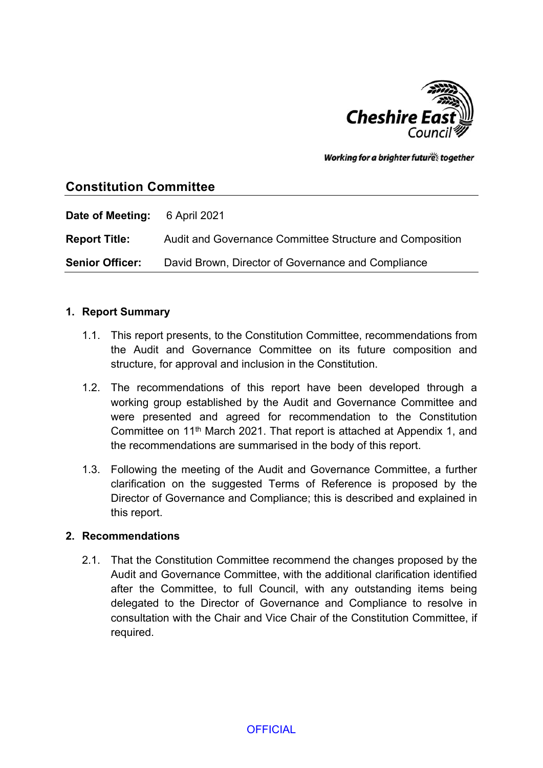

Working for a brighter futures together

# **Constitution Committee**

| Date of Meeting:       | 6 April 2021                                             |
|------------------------|----------------------------------------------------------|
| <b>Report Title:</b>   | Audit and Governance Committee Structure and Composition |
| <b>Senior Officer:</b> | David Brown, Director of Governance and Compliance       |

#### **1. Report Summary**

- 1.1. This report presents, to the Constitution Committee, recommendations from the Audit and Governance Committee on its future composition and structure, for approval and inclusion in the Constitution.
- 1.2. The recommendations of this report have been developed through a working group established by the Audit and Governance Committee and were presented and agreed for recommendation to the Constitution Committee on 11th March 2021. That report is attached at Appendix 1, and the recommendations are summarised in the body of this report.
- 1.3. Following the meeting of the Audit and Governance Committee, a further clarification on the suggested Terms of Reference is proposed by the Director of Governance and Compliance; this is described and explained in this report.

## **2. Recommendations**

2.1. That the Constitution Committee recommend the changes proposed by the Audit and Governance Committee, with the additional clarification identified after the Committee, to full Council, with any outstanding items being delegated to the Director of Governance and Compliance to resolve in consultation with the Chair and Vice Chair of the Constitution Committee, if required.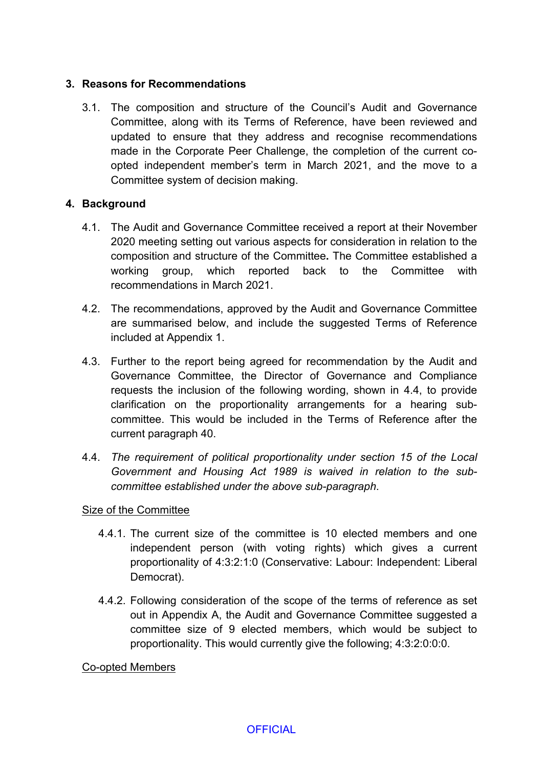## **3. Reasons for Recommendations**

3.1. The composition and structure of the Council's Audit and Governance Committee, along with its Terms of Reference, have been reviewed and updated to ensure that they address and recognise recommendations made in the Corporate Peer Challenge, the completion of the current coopted independent member's term in March 2021, and the move to a Committee system of decision making.

## **4. Background**

- 4.1. The Audit and Governance Committee received a report at their November 2020 meeting setting out various aspects for consideration in relation to the composition and structure of the Committee**.** The Committee established a working group, which reported back to the Committee with recommendations in March 2021.
- 4.2. The recommendations, approved by the Audit and Governance Committee are summarised below, and include the suggested Terms of Reference included at Appendix 1.
- 4.3. Further to the report being agreed for recommendation by the Audit and Governance Committee, the Director of Governance and Compliance requests the inclusion of the following wording, shown in 4.4, to provide clarification on the proportionality arrangements for a hearing subcommittee. This would be included in the Terms of Reference after the current paragraph 40.
- 4.4. *The requirement of political proportionality under section 15 of the Local Government and Housing Act 1989 is waived in relation to the subcommittee established under the above sub-paragraph*.

## Size of the Committee

- 4.4.1. The current size of the committee is 10 elected members and one independent person (with voting rights) which gives a current proportionality of 4:3:2:1:0 (Conservative: Labour: Independent: Liberal Democrat).
- 4.4.2. Following consideration of the scope of the terms of reference as set out in Appendix A, the Audit and Governance Committee suggested a committee size of 9 elected members, which would be subject to proportionality. This would currently give the following; 4:3:2:0:0:0.

Co-opted Members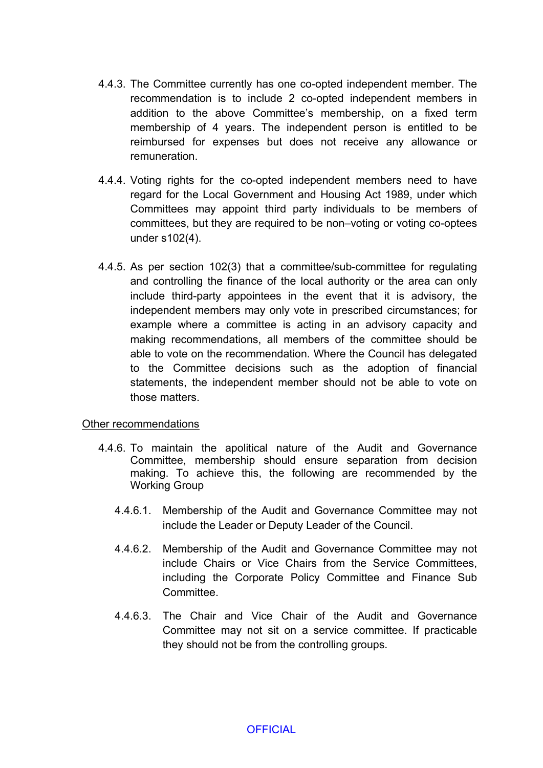- 4.4.3. The Committee currently has one co-opted independent member. The recommendation is to include 2 co-opted independent members in addition to the above Committee's membership, on a fixed term membership of 4 years. The independent person is entitled to be reimbursed for expenses but does not receive any allowance or remuneration.
- 4.4.4. Voting rights for the co-opted independent members need to have regard for the Local Government and Housing Act 1989, under which Committees may appoint third party individuals to be members of committees, but they are required to be non–voting or voting co-optees under s102(4).
- 4.4.5. As per section 102(3) that a committee/sub-committee for regulating and controlling the finance of the local authority or the area can only include third-party appointees in the event that it is advisory, the independent members may only vote in prescribed circumstances; for example where a committee is acting in an advisory capacity and making recommendations, all members of the committee should be able to vote on the recommendation. Where the Council has delegated to the Committee decisions such as the adoption of financial statements, the independent member should not be able to vote on those matters.

#### Other recommendations

- 4.4.6. To maintain the apolitical nature of the Audit and Governance Committee, membership should ensure separation from decision making. To achieve this, the following are recommended by the Working Group
	- 4.4.6.1. Membership of the Audit and Governance Committee may not include the Leader or Deputy Leader of the Council.
	- 4.4.6.2. Membership of the Audit and Governance Committee may not include Chairs or Vice Chairs from the Service Committees, including the Corporate Policy Committee and Finance Sub Committee.
	- 4.4.6.3. The Chair and Vice Chair of the Audit and Governance Committee may not sit on a service committee. If practicable they should not be from the controlling groups.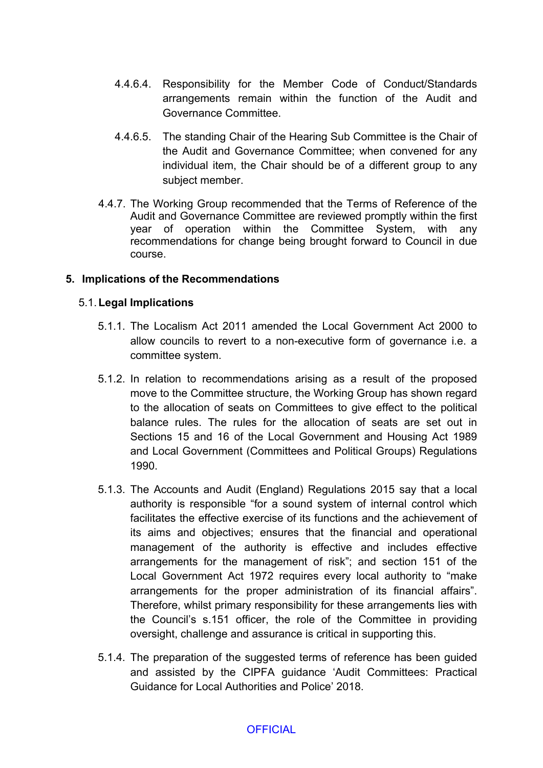- 4.4.6.4. Responsibility for the Member Code of Conduct/Standards arrangements remain within the function of the Audit and Governance Committee.
- 4.4.6.5. The standing Chair of the Hearing Sub Committee is the Chair of the Audit and Governance Committee; when convened for any individual item, the Chair should be of a different group to any subject member.
- 4.4.7. The Working Group recommended that the Terms of Reference of the Audit and Governance Committee are reviewed promptly within the first year of operation within the Committee System, with any recommendations for change being brought forward to Council in due course.

## **5. Implications of the Recommendations**

### 5.1.**Legal Implications**

- 5.1.1. The Localism Act 2011 amended the Local Government Act 2000 to allow councils to revert to a non-executive form of governance i.e. a committee system.
- 5.1.2. In relation to recommendations arising as a result of the proposed move to the Committee structure, the Working Group has shown regard to the allocation of seats on Committees to give effect to the political balance rules. The rules for the allocation of seats are set out in Sections 15 and 16 of the Local Government and Housing Act 1989 and Local Government (Committees and Political Groups) Regulations 1990.
- 5.1.3. The Accounts and Audit (England) Regulations 2015 say that a local authority is responsible "for a sound system of internal control which facilitates the effective exercise of its functions and the achievement of its aims and objectives; ensures that the financial and operational management of the authority is effective and includes effective arrangements for the management of risk"; and section 151 of the Local Government Act 1972 requires every local authority to "make arrangements for the proper administration of its financial affairs". Therefore, whilst primary responsibility for these arrangements lies with the Council's s.151 officer, the role of the Committee in providing oversight, challenge and assurance is critical in supporting this.
- 5.1.4. The preparation of the suggested terms of reference has been guided and assisted by the CIPFA guidance 'Audit Committees: Practical Guidance for Local Authorities and Police' 2018.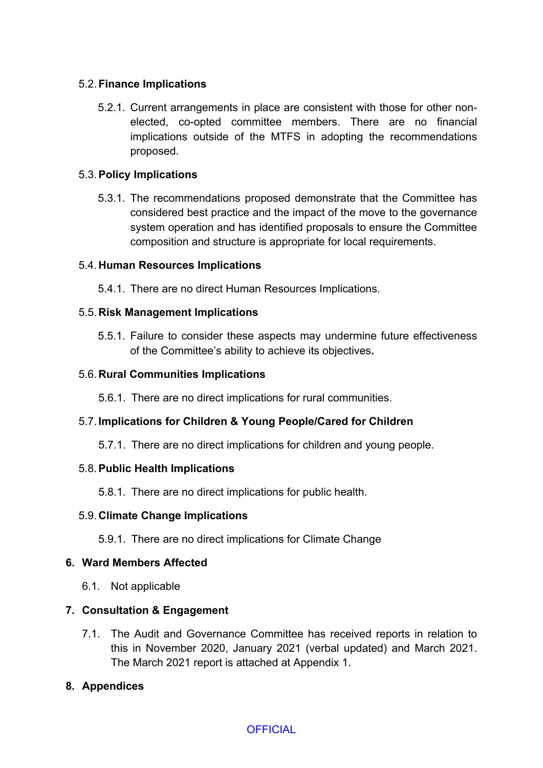## 5.2.**Finance Implications**

5.2.1. Current arrangements in place are consistent with those for other nonelected, co-opted committee members. There are no financial implications outside of the MTFS in adopting the recommendations proposed.

### 5.3.**Policy Implications**

5.3.1. The recommendations proposed demonstrate that the Committee has considered best practice and the impact of the move to the governance system operation and has identified proposals to ensure the Committee composition and structure is appropriate for local requirements.

### 5.4. **Human Resources Implications**

5.4.1. There are no direct Human Resources Implications.

### 5.5. **Risk Management Implications**

5.5.1. Failure to consider these aspects may undermine future effectiveness of the Committee's ability to achieve its objectives**.**

### 5.6. **Rural Communities Implications**

5.6.1. There are no direct implications for rural communities.

## 5.7. **Implications for Children & Young People/Cared for Children**

5.7.1. There are no direct implications for children and young people.

#### 5.8.**Public Health Implications**

5.8.1. There are no direct implications for public health.

#### 5.9. **Climate Change Implications**

5.9.1. There are no direct implications for Climate Change

#### **6. Ward Members Affected**

6.1. Not applicable

## **7. Consultation & Engagement**

7.1. The Audit and Governance Committee has received reports in relation to this in November 2020, January 2021 (verbal updated) and March 2021. The March 2021 report is attached at Appendix 1.

## **8. Appendices**